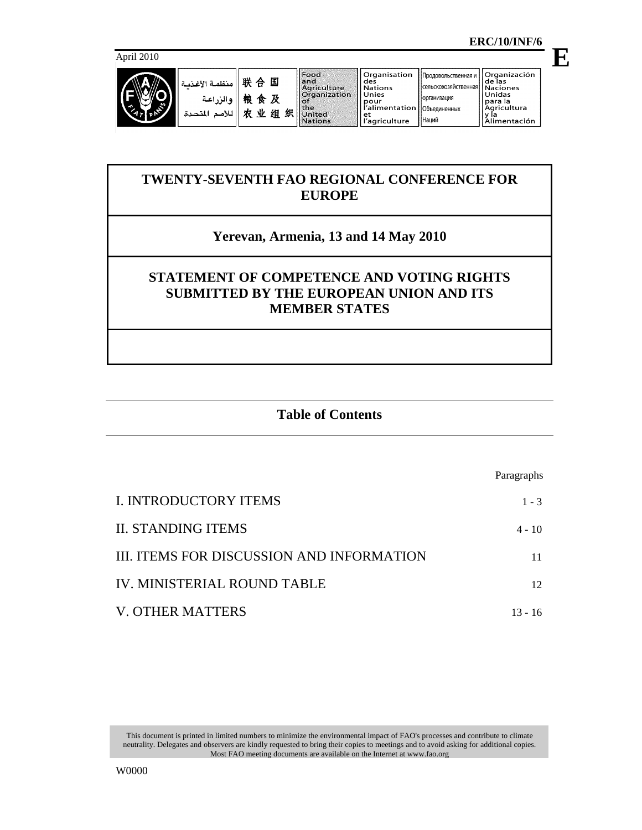para la<br>Agricultura

y ľa<br><u>Alimentación</u>



国

及

组织

**E**

# **TWENTY-SEVENTH FAO REGIONAL CONFERENCE FOR EUROPE**

# **Yerevan, Armenia, 13 and 14 May 2010**

## **STATEMENT OF COMPETENCE AND VOTING RIGHTS SUBMITTED BY THE EUROPEAN UNION AND ITS MEMBER STATES**

## **Table of Contents**

Paragraphs I. INTRODUCTORY ITEMS 1 - 3 II. STANDING ITEMS 4 - 10 III. ITEMS FOR DISCUSSION AND INFORMATION 11 IV. MINISTERIAL ROUND TABLE 12 V. OTHER MATTERS 13 - 16

This document is printed in limited numbers to minimize the environmental impact of FAO's processes and contribute to climate neutrality. Delegates and observers are kindly requested to bring their copies to meetings and to avoid asking for additional copies. Most FAO meeting documents are available on the Internet at www.fao.org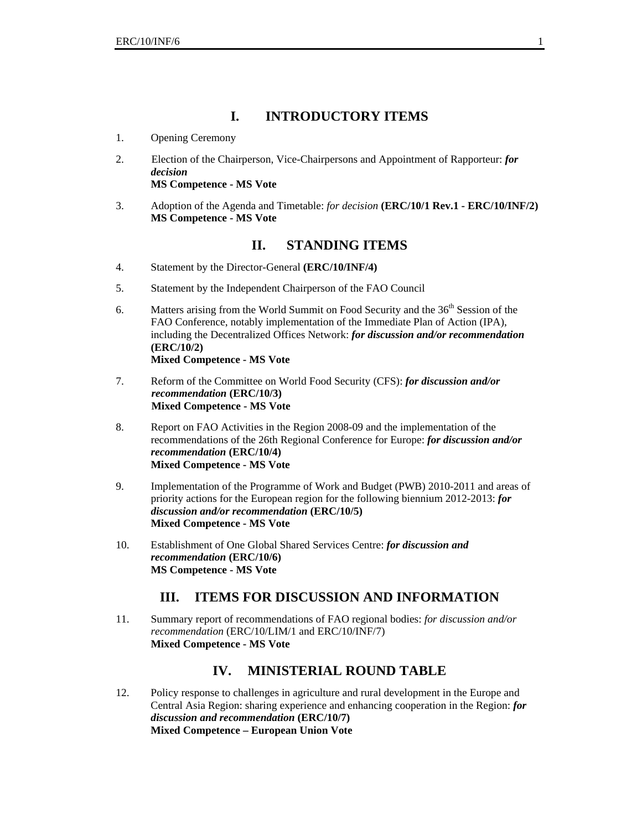### **I. INTRODUCTORY ITEMS**

- 1. Opening Ceremony
- 2. Election of the Chairperson, Vice-Chairpersons and Appointment of Rapporteur: *for decision*  **MS Competence - MS Vote**
- 3. Adoption of the Agenda and Timetable: *for decision* **(ERC/10/1 Rev.1 ERC/10/INF/2) MS Competence - MS Vote**

#### **II. STANDING ITEMS**

- 4. Statement by the Director-General **(ERC/10/INF/4)**
- 5. Statement by the Independent Chairperson of the FAO Council
- 6. Matters arising from the World Summit on Food Security and the  $36<sup>th</sup>$  Session of the FAO Conference, notably implementation of the Immediate Plan of Action (IPA), including the Decentralized Offices Network: *for discussion and/or recommendation*  **(ERC/10/2) Mixed Competence - MS Vote**
- 7. Reform of the Committee on World Food Security (CFS): *for discussion and/or recommendation* **(ERC/10/3) Mixed Competence - MS Vote**
- 8. Report on FAO Activities in the Region 2008-09 and the implementation of the recommendations of the 26th Regional Conference for Europe: *for discussion and/or recommendation* **(ERC/10/4) Mixed Competence - MS Vote**
- 9. Implementation of the Programme of Work and Budget (PWB) 2010-2011 and areas of priority actions for the European region for the following biennium 2012-2013: *for discussion and/or recommendation* **(ERC/10/5) Mixed Competence - MS Vote**
- 10. Establishment of One Global Shared Services Centre: *for discussion and recommendation* **(ERC/10/6) MS Competence - MS Vote**

### **III. ITEMS FOR DISCUSSION AND INFORMATION**

11. Summary report of recommendations of FAO regional bodies: *for discussion and/or recommendation* (ERC/10/LIM/1 and ERC/10/INF/7) **Mixed Competence - MS Vote**

### **IV. MINISTERIAL ROUND TABLE**

12. Policy response to challenges in agriculture and rural development in the Europe and Central Asia Region: sharing experience and enhancing cooperation in the Region: *for discussion and recommendation* **(ERC/10/7) Mixed Competence – European Union Vote**